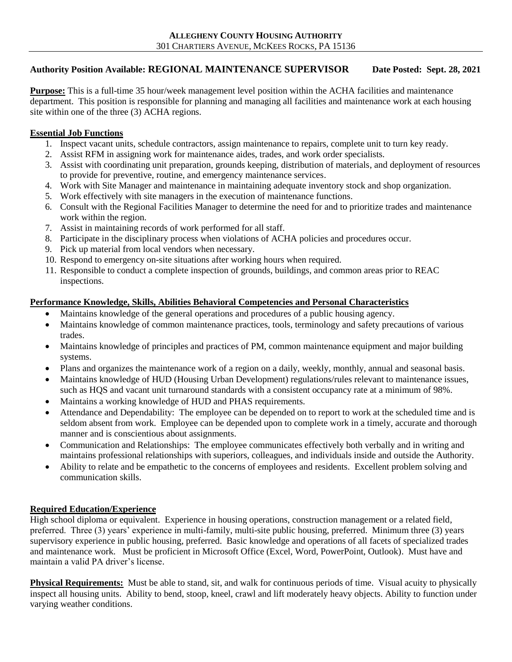## **Authority Position Available: REGIONAL MAINTENANCE SUPERVISOR Date Posted: Sept. 28, 2021**

**Purpose:** This is a full-time 35 hour/week management level position within the ACHA facilities and maintenance department. This position is responsible for planning and managing all facilities and maintenance work at each housing site within one of the three (3) ACHA regions.

## **Essential Job Functions**

- 1. Inspect vacant units, schedule contractors, assign maintenance to repairs, complete unit to turn key ready.
- 2. Assist RFM in assigning work for maintenance aides, trades, and work order specialists.
- 3. Assist with coordinating unit preparation, grounds keeping, distribution of materials, and deployment of resources to provide for preventive, routine, and emergency maintenance services.
- 4. Work with Site Manager and maintenance in maintaining adequate inventory stock and shop organization.
- 5. Work effectively with site managers in the execution of maintenance functions.
- 6. Consult with the Regional Facilities Manager to determine the need for and to prioritize trades and maintenance work within the region.
- 7. Assist in maintaining records of work performed for all staff.
- 8. Participate in the disciplinary process when violations of ACHA policies and procedures occur.
- 9. Pick up material from local vendors when necessary.
- 10. Respond to emergency on-site situations after working hours when required.
- 11. Responsible to conduct a complete inspection of grounds, buildings, and common areas prior to REAC inspections.

## **Performance Knowledge, Skills, Abilities Behavioral Competencies and Personal Characteristics**

- Maintains knowledge of the general operations and procedures of a public housing agency.
- Maintains knowledge of common maintenance practices, tools, terminology and safety precautions of various trades.
- Maintains knowledge of principles and practices of PM, common maintenance equipment and major building systems.
- Plans and organizes the maintenance work of a region on a daily, weekly, monthly, annual and seasonal basis.
- Maintains knowledge of HUD (Housing Urban Development) regulations/rules relevant to maintenance issues, such as HQS and vacant unit turnaround standards with a consistent occupancy rate at a minimum of 98%.
- Maintains a working knowledge of HUD and PHAS requirements.
- Attendance and Dependability: The employee can be depended on to report to work at the scheduled time and is seldom absent from work. Employee can be depended upon to complete work in a timely, accurate and thorough manner and is conscientious about assignments.
- Communication and Relationships: The employee communicates effectively both verbally and in writing and maintains professional relationships with superiors, colleagues, and individuals inside and outside the Authority.
- Ability to relate and be empathetic to the concerns of employees and residents. Excellent problem solving and communication skills.

## **Required Education/Experience**

High school diploma or equivalent. Experience in housing operations, construction management or a related field, preferred. Three (3) years' experience in multi-family, multi-site public housing, preferred. Minimum three (3) years supervisory experience in public housing, preferred. Basic knowledge and operations of all facets of specialized trades and maintenance work. Must be proficient in Microsoft Office (Excel, Word, PowerPoint, Outlook). Must have and maintain a valid PA driver's license.

**Physical Requirements:** Must be able to stand, sit, and walk for continuous periods of time. Visual acuity to physically inspect all housing units. Ability to bend, stoop, kneel, crawl and lift moderately heavy objects. Ability to function under varying weather conditions.